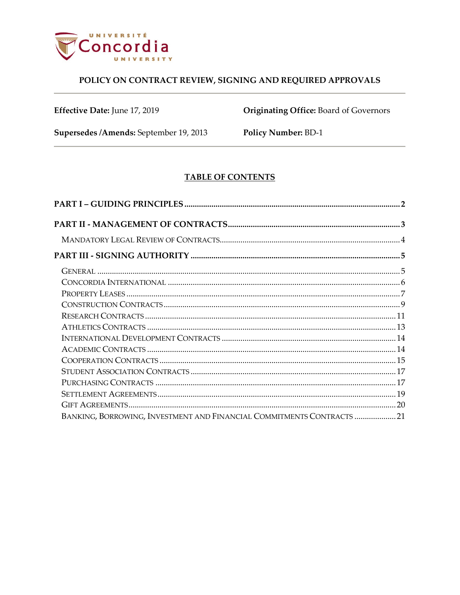

Effective Date: June 17, 2019

Originating Office: Board of Governors

Supersedes /Amends: September 19, 2013

Policy Number: BD-1

# **TABLE OF CONTENTS**

| BANKING, BORROWING, INVESTMENT AND FINANCIAL COMMITMENTS CONTRACTS 21 |  |
|-----------------------------------------------------------------------|--|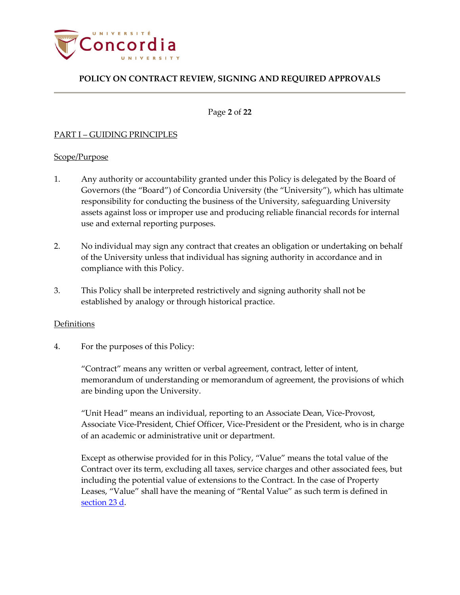

Page **2** of **22**

## <span id="page-1-0"></span>PART I – GUIDING PRINCIPLES

## Scope/Purpose

- 1. Any authority or accountability granted under this Policy is delegated by the Board of Governors (the "Board") of Concordia University (the "University"), which has ultimate responsibility for conducting the business of the University, safeguarding University assets against loss or improper use and producing reliable financial records for internal use and external reporting purposes.
- 2. No individual may sign any contract that creates an obligation or undertaking on behalf of the University unless that individual has signing authority in accordance and in compliance with this Policy.
- 3. This Policy shall be interpreted restrictively and signing authority shall not be established by analogy or through historical practice.

## **Definitions**

4. For the purposes of this Policy:

"Contract" means any written or verbal agreement, contract, letter of intent, memorandum of understanding or memorandum of agreement, the provisions of which are binding upon the University.

"Unit Head" means an individual, reporting to an Associate Dean, Vice-Provost, Associate Vice-President, Chief Officer, Vice-President or the President, who is in charge of an academic or administrative unit or department.

Except as otherwise provided for in this Policy, "Value" means the total value of the Contract over its term, excluding all taxes, service charges and other associated fees, but including the potential value of extensions to the Contract. In the case of Property Leases, "Value" shall have the meaning of "Rental Value" as such term is defined in [section 23 d.](#page-6-1)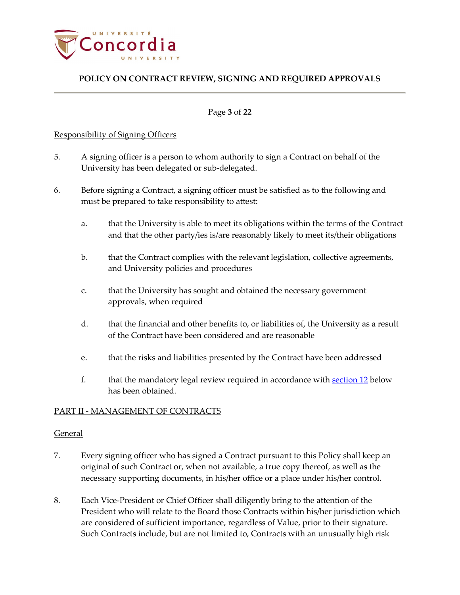

#### Page **3** of **22**

#### Responsibility of Signing Officers

- 5. A signing officer is a person to whom authority to sign a Contract on behalf of the University has been delegated or sub-delegated.
- 6. Before signing a Contract, a signing officer must be satisfied as to the following and must be prepared to take responsibility to attest:
	- a. that the University is able to meet its obligations within the terms of the Contract and that the other party/ies is/are reasonably likely to meet its/their obligations
	- b. that the Contract complies with the relevant legislation, collective agreements, and University policies and procedures
	- c. that the University has sought and obtained the necessary government approvals, when required
	- d. that the financial and other benefits to, or liabilities of, the University as a result of the Contract have been considered and are reasonable
	- e. that the risks and liabilities presented by the Contract have been addressed
	- f. that the mandatory legal review required in accordance with [section](#page-3-0) 12 below has been obtained.

## <span id="page-2-0"></span>PART II - MANAGEMENT OF CONTRACTS

## General

- 7. Every signing officer who has signed a Contract pursuant to this Policy shall keep an original of such Contract or, when not available, a true copy thereof, as well as the necessary supporting documents, in his/her office or a place under his/her control.
- 8. Each Vice-President or Chief Officer shall diligently bring to the attention of the President who will relate to the Board those Contracts within his/her jurisdiction which are considered of sufficient importance, regardless of Value, prior to their signature. Such Contracts include, but are not limited to, Contracts with an unusually high risk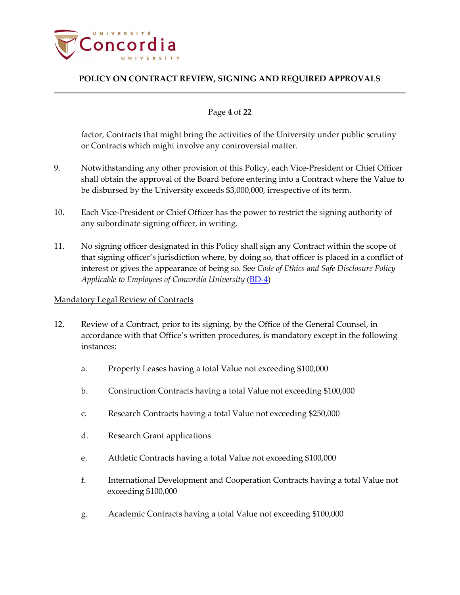

## Page **4** of **22**

factor, Contracts that might bring the activities of the University under public scrutiny or Contracts which might involve any controversial matter.

- 9. Notwithstanding any other provision of this Policy, each Vice-President or Chief Officer shall obtain the approval of the Board before entering into a Contract where the Value to be disbursed by the University exceeds \$3,000,000, irrespective of its term.
- 10. Each Vice-President or Chief Officer has the power to restrict the signing authority of any subordinate signing officer, in writing.
- 11. No signing officer designated in this Policy shall sign any Contract within the scope of that signing officer's jurisdiction where, by doing so, that officer is placed in a conflict of interest or gives the appearance of being so. See *Code of Ethics and Safe Disclosure Policy Applicable to Employees of Concordia University* [\(BD-4\)](http://www.concordia.ca/content/dam/common/docs/policies/official-policies/BD-4.pdf)

## <span id="page-3-0"></span>Mandatory Legal Review of Contracts

- 12. Review of a Contract, prior to its signing, by the Office of the General Counsel, in accordance with that Office's written procedures, is mandatory except in the following instances:
	- a. Property Leases having a total Value not exceeding \$100,000
	- b. Construction Contracts having a total Value not exceeding \$100,000
	- c. Research Contracts having a total Value not exceeding \$250,000
	- d. Research Grant applications
	- e. Athletic Contracts having a total Value not exceeding \$100,000
	- f. International Development and Cooperation Contracts having a total Value not exceeding \$100,000
	- g. Academic Contracts having a total Value not exceeding \$100,000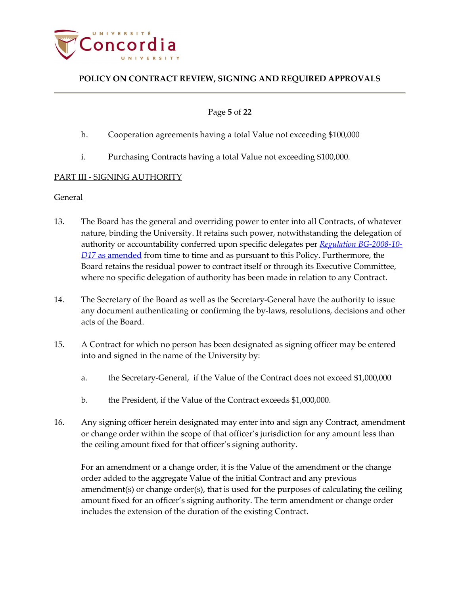

Page **5** of **22**

- h. Cooperation agreements having a total Value not exceeding \$100,000
- i. Purchasing Contracts having a total Value not exceeding \$100,000.

## <span id="page-4-1"></span><span id="page-4-0"></span>PART III - SIGNING AUTHORITY

## General

- 13. The Board has the general and overriding power to enter into all Contracts, of whatever nature, binding the University. It retains such power, notwithstanding the delegation of authority or accountability conferred upon specific delegates per *[Regulation BG-2008-10-](http://www.concordia.ca/content/dam/common/docs/policies/official-policies/BG-2008-10-D17.pdf) D17* [as amended](http://www.concordia.ca/content/dam/common/docs/policies/official-policies/BG-2008-10-D17.pdf) from time to time and as pursuant to this Policy. Furthermore, the Board retains the residual power to contract itself or through its Executive Committee, where no specific delegation of authority has been made in relation to any Contract.
- 14. The Secretary of the Board as well as the Secretary-General have the authority to issue any document authenticating or confirming the by-laws, resolutions, decisions and other acts of the Board.
- 15. A Contract for which no person has been designated as signing officer may be entered into and signed in the name of the University by:
	- a. the Secretary-General, if the Value of the Contract does not exceed \$1,000,000
	- b. the President, if the Value of the Contract exceeds \$1,000,000.
- 16. Any signing officer herein designated may enter into and sign any Contract, amendment or change order within the scope of that officer's jurisdiction for any amount less than the ceiling amount fixed for that officer's signing authority.

<span id="page-4-2"></span>For an amendment or a change order, it is the Value of the amendment or the change order added to the aggregate Value of the initial Contract and any previous amendment(s) or change order(s), that is used for the purposes of calculating the ceiling amount fixed for an officer's signing authority. The term amendment or change order includes the extension of the duration of the existing Contract.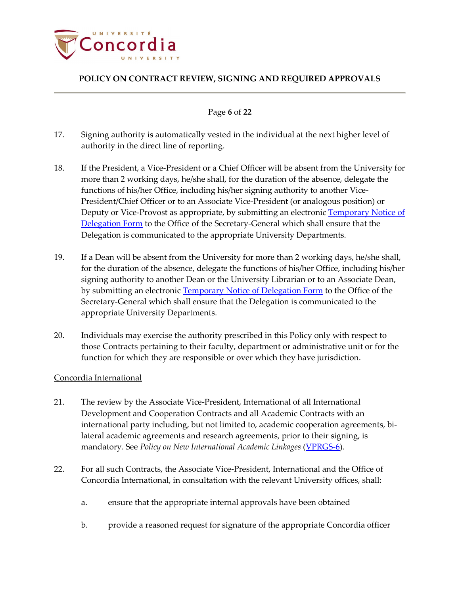

Page **6** of **22**

- 17. Signing authority is automatically vested in the individual at the next higher level of authority in the direct line of reporting.
- <span id="page-5-1"></span>18. If the President, a Vice-President or a Chief Officer will be absent from the University for more than 2 working days, he/she shall, for the duration of the absence, delegate the functions of his/her Office, including his/her signing authority to another Vice-President/Chief Officer or to an Associate Vice-President (or analogous position) or Deputy or Vice-Provost as appropriate, by submitting an electronic [Temporary Notice of](http://www.concordia.ca/content/dam/common/docs/policies/official-policies/Temp-notice-delegation-form.pdf)  [Delegation Form](http://www.concordia.ca/content/dam/common/docs/policies/official-policies/Temp-notice-delegation-form.pdf) to the Office of the Secretary-General which shall ensure that the Delegation is communicated to the appropriate University Departments.
- 19. If a Dean will be absent from the University for more than 2 working days, he/she shall, for the duration of the absence, delegate the functions of his/her Office, including his/her signing authority to another Dean or the University Librarian or to an Associate Dean, by submitting an electronic [Temporary Notice of Delegation Form](http://www.concordia.ca/content/dam/common/docs/policies/official-policies/Temp-notice-delegation-form.pdf) to the Office of the Secretary-General which shall ensure that the Delegation is communicated to the appropriate University Departments.
- 20. Individuals may exercise the authority prescribed in this Policy only with respect to those Contracts pertaining to their faculty, department or administrative unit or for the function for which they are responsible or over which they have jurisdiction.

## <span id="page-5-0"></span>Concordia International

- 21. The review by the Associate Vice-President, International of all International Development and Cooperation Contracts and all Academic Contracts with an international party including, but not limited to, academic cooperation agreements, bilateral academic agreements and research agreements, prior to their signing, is mandatory. See *Policy on New International Academic Linkages* [\(VPRGS-6\)](http://www.concordia.ca/content/dam/common/docs/policies/official-policies/VPRGS-6.pdf).
- 22. For all such Contracts, the Associate Vice-President, International and the Office of Concordia International, in consultation with the relevant University offices, shall:
	- a. ensure that the appropriate internal approvals have been obtained
	- b. provide a reasoned request for signature of the appropriate Concordia officer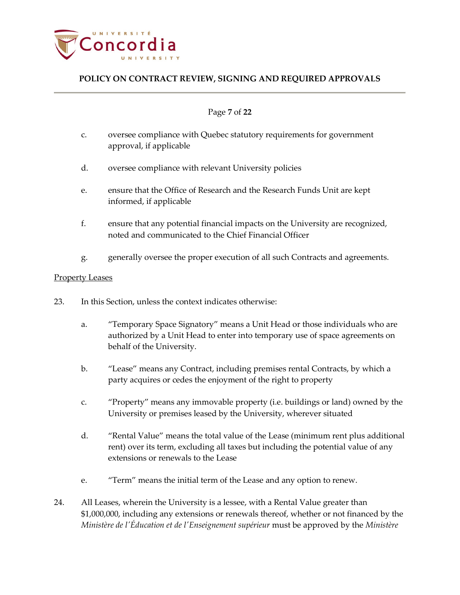

## Page **7** of **22**

- c. oversee compliance with Quebec statutory requirements for government approval, if applicable
- d. oversee compliance with relevant University policies
- e. ensure that the Office of Research and the Research Funds Unit are kept informed, if applicable
- f. ensure that any potential financial impacts on the University are recognized, noted and communicated to the Chief Financial Officer
- g. generally oversee the proper execution of all such Contracts and agreements.

#### <span id="page-6-0"></span>Property Leases

- 23. In this Section, unless the context indicates otherwise:
	- a. "Temporary Space Signatory" means a Unit Head or those individuals who are authorized by a Unit Head to enter into temporary use of space agreements on behalf of the University.
	- b. "Lease" means any Contract, including premises rental Contracts, by which a party acquires or cedes the enjoyment of the right to property
	- c. "Property" means any immovable property (i.e. buildings or land) owned by the University or premises leased by the University, wherever situated
	- d. "Rental Value" means the total value of the Lease (minimum rent plus additional rent) over its term, excluding all taxes but including the potential value of any extensions or renewals to the Lease
	- e. "Term" means the initial term of the Lease and any option to renew.
- <span id="page-6-1"></span>24. All Leases, wherein the University is a lessee, with a Rental Value greater than \$1,000,000, including any extensions or renewals thereof, whether or not financed by the *Ministère de l'Éducation et de l'Enseignement supérieur* must be approved by the *Ministère*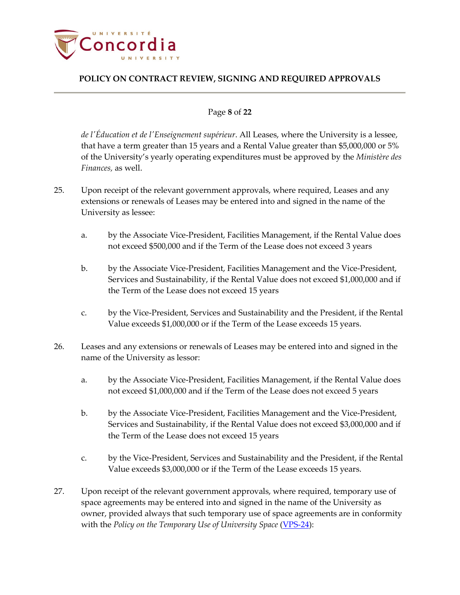

## Page **8** of **22**

*de l'Éducation et de l'Enseignement supérieur*. All Leases, where the University is a lessee, that have a term greater than 15 years and a Rental Value greater than \$5,000,000 or 5% of the University's yearly operating expenditures must be approved by the *Ministère des Finances,* as well.

- 25. Upon receipt of the relevant government approvals, where required, Leases and any extensions or renewals of Leases may be entered into and signed in the name of the University as lessee:
	- a. by the Associate Vice-President, Facilities Management, if the Rental Value does not exceed \$500,000 and if the Term of the Lease does not exceed 3 years
	- b. by the Associate Vice-President, Facilities Management and the Vice-President, Services and Sustainability, if the Rental Value does not exceed \$1,000,000 and if the Term of the Lease does not exceed 15 years
	- c. by the Vice-President, Services and Sustainability and the President, if the Rental Value exceeds \$1,000,000 or if the Term of the Lease exceeds 15 years.
- 26. Leases and any extensions or renewals of Leases may be entered into and signed in the name of the University as lessor:
	- a. by the Associate Vice-President, Facilities Management, if the Rental Value does not exceed \$1,000,000 and if the Term of the Lease does not exceed 5 years
	- b. by the Associate Vice-President, Facilities Management and the Vice-President, Services and Sustainability, if the Rental Value does not exceed \$3,000,000 and if the Term of the Lease does not exceed 15 years
	- c. by the Vice-President, Services and Sustainability and the President, if the Rental Value exceeds \$3,000,000 or if the Term of the Lease exceeds 15 years.
- 27. Upon receipt of the relevant government approvals, where required, temporary use of space agreements may be entered into and signed in the name of the University as owner, provided always that such temporary use of space agreements are in conformity with the *Policy on the Temporary Use of University Space* [\(VPS-24\)](http://www.concordia.ca/content/dam/common/docs/policies/official-policies/VPS-24.pdf):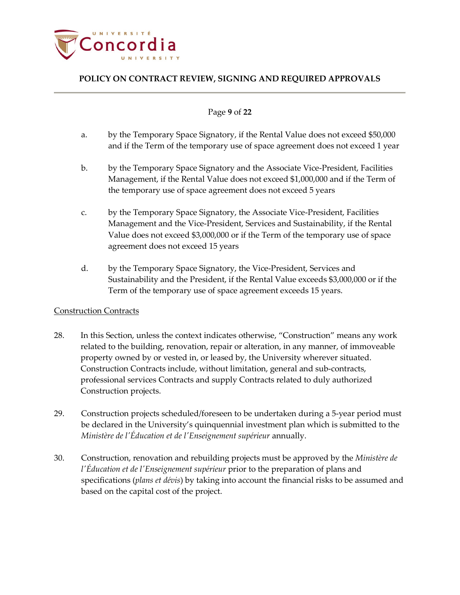

#### Page **9** of **22**

- a. by the Temporary Space Signatory, if the Rental Value does not exceed \$50,000 and if the Term of the temporary use of space agreement does not exceed 1 year
- b. by the Temporary Space Signatory and the Associate Vice-President, Facilities Management, if the Rental Value does not exceed \$1,000,000 and if the Term of the temporary use of space agreement does not exceed 5 years
- c. by the Temporary Space Signatory, the Associate Vice-President, Facilities Management and the Vice-President, Services and Sustainability, if the Rental Value does not exceed \$3,000,000 or if the Term of the temporary use of space agreement does not exceed 15 years
- d. by the Temporary Space Signatory, the Vice-President, Services and Sustainability and the President, if the Rental Value exceeds \$3,000,000 or if the Term of the temporary use of space agreement exceeds 15 years.

## <span id="page-8-0"></span>Construction Contracts

- 28. In this Section, unless the context indicates otherwise, "Construction" means any work related to the building, renovation, repair or alteration, in any manner, of immoveable property owned by or vested in, or leased by, the University wherever situated. Construction Contracts include, without limitation, general and sub-contracts, professional services Contracts and supply Contracts related to duly authorized Construction projects.
- 29. Construction projects scheduled/foreseen to be undertaken during a 5-year period must be declared in the University's quinquennial investment plan which is submitted to the *Ministère de l'Éducation et de l'Enseignement supérieur* annually.
- 30. Construction, renovation and rebuilding projects must be approved by the *Ministère de l'Éducation et de l'Enseignement supérieur* prior to the preparation of plans and specifications (*plans et dévis*) by taking into account the financial risks to be assumed and based on the capital cost of the project.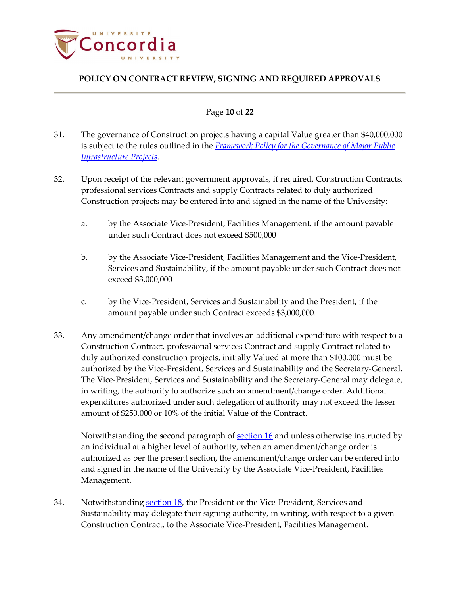

## Page **10** of **22**

- 31. The governance of Construction projects having a capital Value greater than \$40,000,000 is subject to the rules outlined in the *[Framework Policy for the Governance of Major Public](http://www.tresor.gouv.qc.ca/fileadmin/PDF/publications/Politique-cadre_2010_ANG.pdf)  [Infrastructure Projects](http://www.tresor.gouv.qc.ca/fileadmin/PDF/publications/Politique-cadre_2010_ANG.pdf)*.
- 32. Upon receipt of the relevant government approvals, if required, Construction Contracts, professional services Contracts and supply Contracts related to duly authorized Construction projects may be entered into and signed in the name of the University:
	- a. by the Associate Vice-President, Facilities Management, if the amount payable under such Contract does not exceed \$500,000
	- b. by the Associate Vice-President, Facilities Management and the Vice-President, Services and Sustainability, if the amount payable under such Contract does not exceed \$3,000,000
	- c. by the Vice-President, Services and Sustainability and the President, if the amount payable under such Contract exceeds \$3,000,000.
- 33. Any amendment/change order that involves an additional expenditure with respect to a Construction Contract, professional services Contract and supply Contract related to duly authorized construction projects, initially Valued at more than \$100,000 must be authorized by the Vice-President, Services and Sustainability and the Secretary-General. The Vice-President, Services and Sustainability and the Secretary-General may delegate, in writing, the authority to authorize such an amendment/change order. Additional expenditures authorized under such delegation of authority may not exceed the lesser amount of \$250,000 or 10% of the initial Value of the Contract.

Notwithstanding the second paragraph of [section 16](#page-4-2) and unless otherwise instructed by an individual at a higher level of authority, when an amendment/change order is authorized as per the present section, the amendment/change order can be entered into and signed in the name of the University by the Associate Vice-President, Facilities Management.

34. Notwithstanding [section](#page-5-1) 18, the President or the Vice-President, Services and Sustainability may delegate their signing authority, in writing, with respect to a given Construction Contract, to the Associate Vice-President, Facilities Management.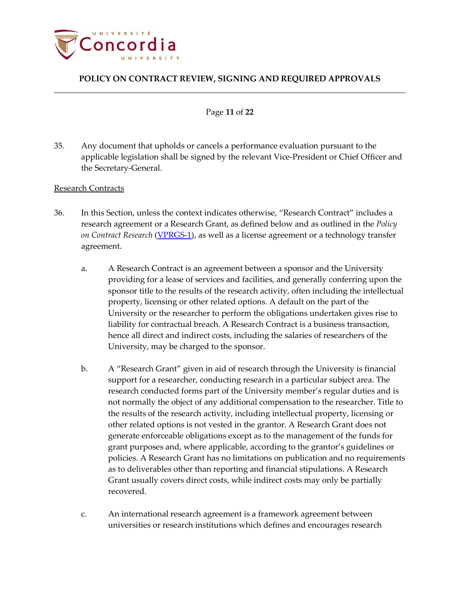

#### Page **11** of **22**

35. Any document that upholds or cancels a performance evaluation pursuant to the applicable legislation shall be signed by the relevant Vice-President or Chief Officer and the Secretary-General.

#### <span id="page-10-0"></span>Research Contracts

- 36. In this Section, unless the context indicates otherwise, "Research Contract" includes a research agreement or a Research Grant, as defined below and as outlined in the *Policy on Contract Research* [\(VPRGS-1\)](http://www.concordia.ca/content/dam/common/docs/policies/official-policies/VPRGS-1.pdf), as well as a license agreement or a technology transfer agreement.
	- a. A Research Contract is an agreement between a sponsor and the University providing for a lease of services and facilities, and generally conferring upon the sponsor title to the results of the research activity, often including the intellectual property, licensing or other related options. A default on the part of the University or the researcher to perform the obligations undertaken gives rise to liability for contractual breach. A Research Contract is a business transaction, hence all direct and indirect costs, including the salaries of researchers of the University, may be charged to the sponsor.
	- b. A "Research Grant" given in aid of research through the University is financial support for a researcher, conducting research in a particular subject area. The research conducted forms part of the University member's regular duties and is not normally the object of any additional compensation to the researcher. Title to the results of the research activity, including intellectual property, licensing or other related options is not vested in the grantor. A Research Grant does not generate enforceable obligations except as to the management of the funds for grant purposes and, where applicable, according to the grantor's guidelines or policies. A Research Grant has no limitations on publication and no requirements as to deliverables other than reporting and financial stipulations. A Research Grant usually covers direct costs, while indirect costs may only be partially recovered.
	- c. An international research agreement is a framework agreement between universities or research institutions which defines and encourages research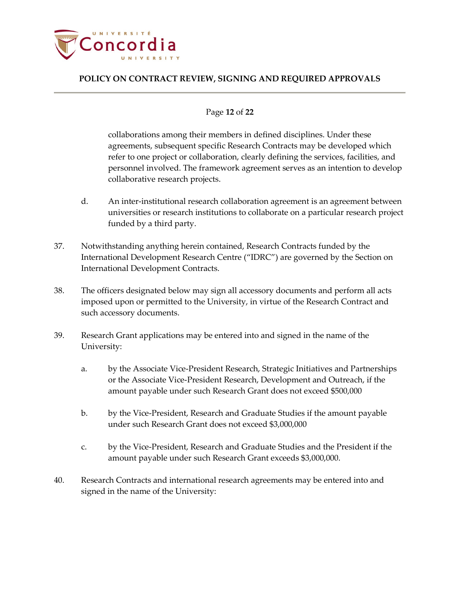

#### Page **12** of **22**

collaborations among their members in defined disciplines. Under these agreements, subsequent specific Research Contracts may be developed which refer to one project or collaboration, clearly defining the services, facilities, and personnel involved. The framework agreement serves as an intention to develop collaborative research projects.

- d. An inter-institutional research collaboration agreement is an agreement between universities or research institutions to collaborate on a particular research project funded by a third party.
- 37. Notwithstanding anything herein contained, Research Contracts funded by the International Development Research Centre ("IDRC") are governed by the Section on International Development Contracts.
- 38. The officers designated below may sign all accessory documents and perform all acts imposed upon or permitted to the University, in virtue of the Research Contract and such accessory documents.
- 39. Research Grant applications may be entered into and signed in the name of the University:
	- a. by the Associate Vice-President Research, Strategic Initiatives and Partnerships or the Associate Vice-President Research, Development and Outreach, if the amount payable under such Research Grant does not exceed \$500,000
	- b. by the Vice-President, Research and Graduate Studies if the amount payable under such Research Grant does not exceed \$3,000,000
	- c. by the Vice-President, Research and Graduate Studies and the President if the amount payable under such Research Grant exceeds \$3,000,000.
- 40. Research Contracts and international research agreements may be entered into and signed in the name of the University: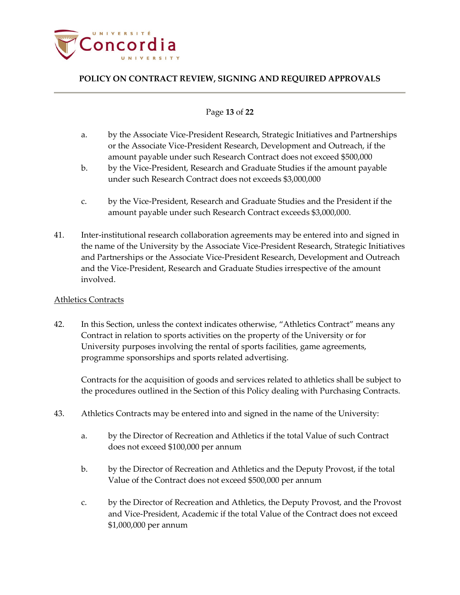

## Page **13** of **22**

- a. by the Associate Vice-President Research, Strategic Initiatives and Partnerships or the Associate Vice-President Research, Development and Outreach, if the amount payable under such Research Contract does not exceed \$500,000
- b. by the Vice-President, Research and Graduate Studies if the amount payable under such Research Contract does not exceeds \$3,000,000
- c. by the Vice-President, Research and Graduate Studies and the President if the amount payable under such Research Contract exceeds \$3,000,000.
- 41. Inter-institutional research collaboration agreements may be entered into and signed in the name of the University by the Associate Vice-President Research, Strategic Initiatives and Partnerships or the Associate Vice-President Research, Development and Outreach and the Vice-President, Research and Graduate Studies irrespective of the amount involved.

#### <span id="page-12-0"></span>Athletics Contracts

42. In this Section, unless the context indicates otherwise, "Athletics Contract" means any Contract in relation to sports activities on the property of the University or for University purposes involving the rental of sports facilities, game agreements, programme sponsorships and sports related advertising.

Contracts for the acquisition of goods and services related to athletics shall be subject to the procedures outlined in the Section of this Policy dealing with Purchasing Contracts.

- 43. Athletics Contracts may be entered into and signed in the name of the University:
	- a. by the Director of Recreation and Athletics if the total Value of such Contract does not exceed \$100,000 per annum
	- b. by the Director of Recreation and Athletics and the Deputy Provost, if the total Value of the Contract does not exceed \$500,000 per annum
	- c. by the Director of Recreation and Athletics, the Deputy Provost, and the Provost and Vice-President, Academic if the total Value of the Contract does not exceed \$1,000,000 per annum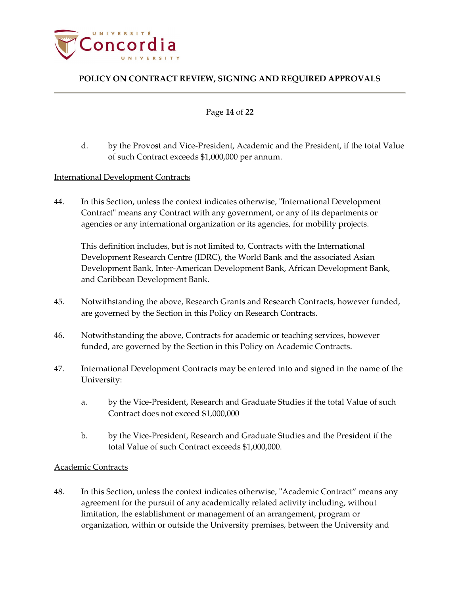

#### Page **14** of **22**

d. by the Provost and Vice-President, Academic and the President, if the total Value of such Contract exceeds \$1,000,000 per annum.

#### <span id="page-13-0"></span>International Development Contracts

44. In this Section, unless the context indicates otherwise, "International Development Contract" means any Contract with any government, or any of its departments or agencies or any international organization or its agencies, for mobility projects.

This definition includes, but is not limited to, Contracts with the International Development Research Centre (IDRC), the World Bank and the associated Asian Development Bank, Inter-American Development Bank, African Development Bank, and Caribbean Development Bank.

- 45. Notwithstanding the above, Research Grants and Research Contracts, however funded, are governed by the Section in this Policy on Research Contracts.
- 46. Notwithstanding the above, Contracts for academic or teaching services, however funded, are governed by the Section in this Policy on Academic Contracts.
- 47. International Development Contracts may be entered into and signed in the name of the University:
	- a. by the Vice-President, Research and Graduate Studies if the total Value of such Contract does not exceed \$1,000,000
	- b. by the Vice-President, Research and Graduate Studies and the President if the total Value of such Contract exceeds \$1,000,000.

## <span id="page-13-1"></span>Academic Contracts

48. In this Section, unless the context indicates otherwise, "Academic Contract" means any agreement for the pursuit of any academically related activity including, without limitation, the establishment or management of an arrangement, program or organization, within or outside the University premises, between the University and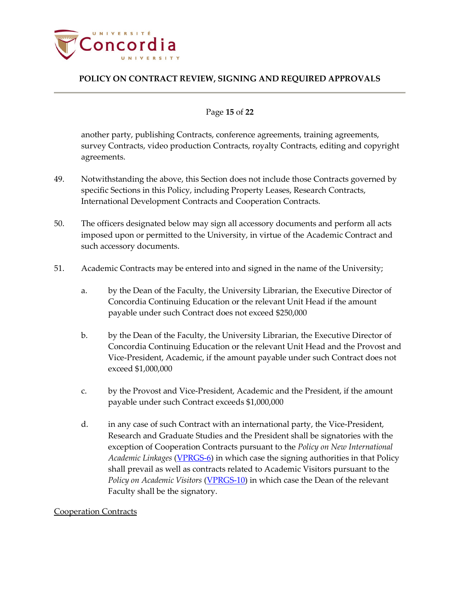

#### Page **15** of **22**

another party, publishing Contracts, conference agreements, training agreements, survey Contracts, video production Contracts, royalty Contracts, editing and copyright agreements.

- 49. Notwithstanding the above, this Section does not include those Contracts governed by specific Sections in this Policy, including Property Leases, Research Contracts, International Development Contracts and Cooperation Contracts.
- 50. The officers designated below may sign all accessory documents and perform all acts imposed upon or permitted to the University, in virtue of the Academic Contract and such accessory documents.
- 51. Academic Contracts may be entered into and signed in the name of the University;
	- a. by the Dean of the Faculty, the University Librarian, the Executive Director of Concordia Continuing Education or the relevant Unit Head if the amount payable under such Contract does not exceed \$250,000
	- b. by the Dean of the Faculty, the University Librarian, the Executive Director of Concordia Continuing Education or the relevant Unit Head and the Provost and Vice-President, Academic, if the amount payable under such Contract does not exceed \$1,000,000
	- c. by the Provost and Vice-President, Academic and the President, if the amount payable under such Contract exceeds \$1,000,000
	- d. in any case of such Contract with an international party, the Vice-President, Research and Graduate Studies and the President shall be signatories with the exception of Cooperation Contracts pursuant to the *Policy on New International Academic Linkages* [\(VPRGS-6\)](http://www.concordia.ca/content/dam/common/docs/policies/official-policies/VPRGS-6.pdf) in which case the signing authorities in that Policy shall prevail as well as contracts related to Academic Visitors pursuant to the *Policy on Academic Visitors* [\(VPRGS-10\)](http://www.concordia.ca/content/dam/common/docs/policies/official-policies/VPRGS-10.pdf) in which case the Dean of the relevant Faculty shall be the signatory.

#### <span id="page-14-0"></span>Cooperation Contracts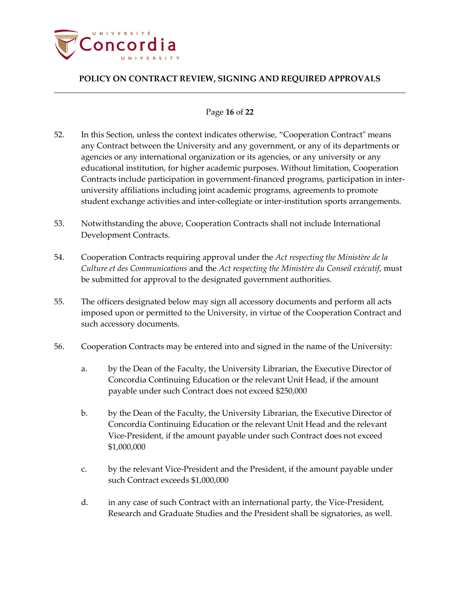

## Page **16** of **22**

- 52. In this Section, unless the context indicates otherwise, "Cooperation Contract" means any Contract between the University and any government, or any of its departments or agencies or any international organization or its agencies, or any university or any educational institution, for higher academic purposes. Without limitation, Cooperation Contracts include participation in government-financed programs, participation in interuniversity affiliations including joint academic programs, agreements to promote student exchange activities and inter-collegiate or inter-institution sports arrangements.
- 53. Notwithstanding the above, Cooperation Contracts shall not include International Development Contracts.
- 54. Cooperation Contracts requiring approval under the *Act respecting the Ministère de la Culture et des Communications* and the *Act respecting the Ministère du Conseil exécutif*, must be submitted for approval to the designated government authorities.
- 55. The officers designated below may sign all accessory documents and perform all acts imposed upon or permitted to the University, in virtue of the Cooperation Contract and such accessory documents.
- 56. Cooperation Contracts may be entered into and signed in the name of the University:
	- a. by the Dean of the Faculty, the University Librarian, the Executive Director of Concordia Continuing Education or the relevant Unit Head, if the amount payable under such Contract does not exceed \$250,000
	- b. by the Dean of the Faculty, the University Librarian, the Executive Director of Concordia Continuing Education or the relevant Unit Head and the relevant Vice-President, if the amount payable under such Contract does not exceed \$1,000,000
	- c. by the relevant Vice-President and the President, if the amount payable under such Contract exceeds \$1,000,000
	- d. in any case of such Contract with an international party, the Vice-President, Research and Graduate Studies and the President shall be signatories, as well.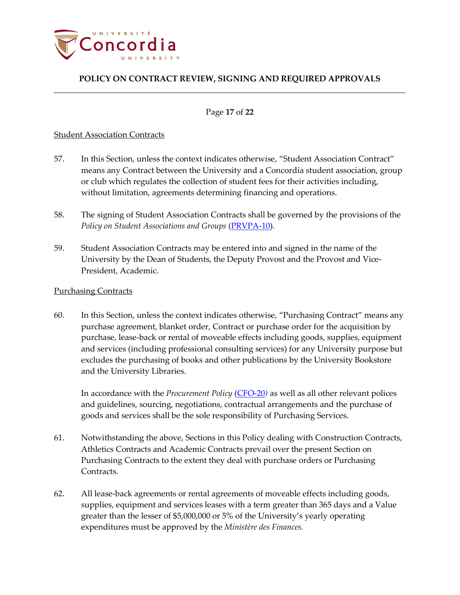

#### Page **17** of **22**

#### <span id="page-16-0"></span>Student Association Contracts

- 57. In this Section, unless the context indicates otherwise, "Student Association Contract" means any Contract between the University and a Concordia student association, group or club which regulates the collection of student fees for their activities including, without limitation, agreements determining financing and operations.
- 58. The signing of Student Association Contracts shall be governed by the provisions of the *Policy on Student Associations and Groups* [\(PRVPA-10\)](http://www.concordia.ca/content/dam/common/docs/policies/official-policies/PRVPA-10.pdf).
- 59. Student Association Contracts may be entered into and signed in the name of the University by the Dean of Students, the Deputy Provost and the Provost and Vice-President, Academic.

#### <span id="page-16-1"></span>Purchasing Contracts

60. In this Section, unless the context indicates otherwise, "Purchasing Contract" means any purchase agreement, blanket order, Contract or purchase order for the acquisition by purchase, lease-back or rental of moveable effects including goods, supplies, equipment and services (including professional consulting services) for any University purpose but excludes the purchasing of books and other publications by the University Bookstore and the University Libraries.

In accordance with the *Procurement Policy* [\(CFO-20](http://www.concordia.ca/content/dam/common/docs/policies/official-policies/CFO-20.pdf)*)* as well as all other relevant polices and guidelines, sourcing, negotiations, contractual arrangements and the purchase of goods and services shall be the sole responsibility of Purchasing Services.

- 61. Notwithstanding the above, Sections in this Policy dealing with Construction Contracts, Athletics Contracts and Academic Contracts prevail over the present Section on Purchasing Contracts to the extent they deal with purchase orders or Purchasing Contracts.
- 62. All lease-back agreements or rental agreements of moveable effects including goods, supplies, equipment and services leases with a term greater than 365 days and a Value greater than the lesser of \$5,000,000 or 5% of the University's yearly operating expenditures must be approved by the *Ministère des Finances.*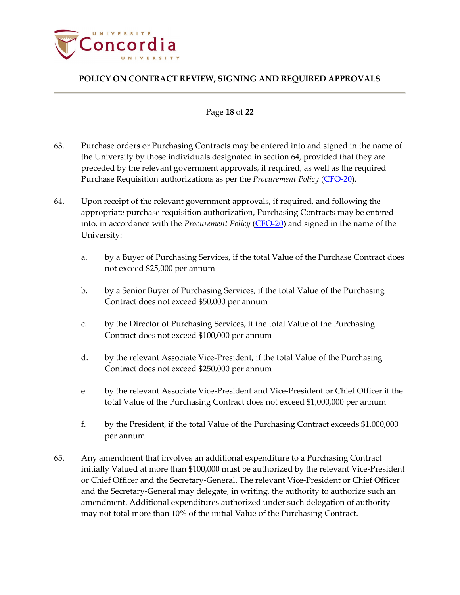

#### Page **18** of **22**

- 63. Purchase orders or Purchasing Contracts may be entered into and signed in the name of the University by those individuals designated in section 64, provided that they are preceded by the relevant government approvals, if required, as well as the required Purchase Requisition authorizations as per the *Procurement Policy* [\(CFO-20\)](http://www.concordia.ca/content/dam/common/docs/policies/official-policies/CFO-20.pdf).
- 64. Upon receipt of the relevant government approvals, if required, and following the appropriate purchase requisition authorization, Purchasing Contracts may be entered into, in accordance with the *Procurement Policy* [\(CFO-20\)](http://www.concordia.ca/content/dam/common/docs/policies/official-policies/CFO-20.pdf) and signed in the name of the University:
	- a. by a Buyer of Purchasing Services, if the total Value of the Purchase Contract does not exceed \$25,000 per annum
	- b. by a Senior Buyer of Purchasing Services, if the total Value of the Purchasing Contract does not exceed \$50,000 per annum
	- c. by the Director of Purchasing Services, if the total Value of the Purchasing Contract does not exceed \$100,000 per annum
	- d. by the relevant Associate Vice-President, if the total Value of the Purchasing Contract does not exceed \$250,000 per annum
	- e. by the relevant Associate Vice-President and Vice-President or Chief Officer if the total Value of the Purchasing Contract does not exceed \$1,000,000 per annum
	- f. by the President, if the total Value of the Purchasing Contract exceeds \$1,000,000 per annum.
- 65. Any amendment that involves an additional expenditure to a Purchasing Contract initially Valued at more than \$100,000 must be authorized by the relevant Vice-President or Chief Officer and the Secretary-General. The relevant Vice-President or Chief Officer and the Secretary-General may delegate, in writing, the authority to authorize such an amendment. Additional expenditures authorized under such delegation of authority may not total more than 10% of the initial Value of the Purchasing Contract.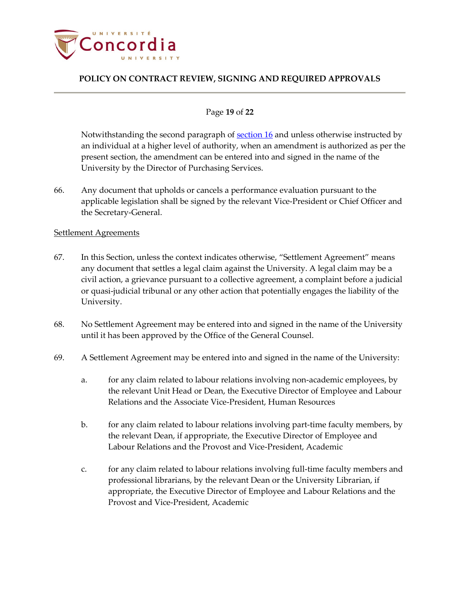

#### Page **19** of **22**

Notwithstanding the second paragraph of [section 16](#page-4-2) and unless otherwise instructed by an individual at a higher level of authority, when an amendment is authorized as per the present section, the amendment can be entered into and signed in the name of the University by the Director of Purchasing Services.

66. Any document that upholds or cancels a performance evaluation pursuant to the applicable legislation shall be signed by the relevant Vice-President or Chief Officer and the Secretary-General.

#### <span id="page-18-0"></span>Settlement Agreements

- 67. In this Section, unless the context indicates otherwise, "Settlement Agreement" means any document that settles a legal claim against the University. A legal claim may be a civil action, a grievance pursuant to a collective agreement, a complaint before a judicial or quasi-judicial tribunal or any other action that potentially engages the liability of the University.
- 68. No Settlement Agreement may be entered into and signed in the name of the University until it has been approved by the Office of the General Counsel.
- 69. A Settlement Agreement may be entered into and signed in the name of the University:
	- a. for any claim related to labour relations involving non-academic employees, by the relevant Unit Head or Dean, the Executive Director of Employee and Labour Relations and the Associate Vice-President, Human Resources
	- b. for any claim related to labour relations involving part-time faculty members, by the relevant Dean, if appropriate, the Executive Director of Employee and Labour Relations and the Provost and Vice-President, Academic
	- c. for any claim related to labour relations involving full-time faculty members and professional librarians, by the relevant Dean or the University Librarian, if appropriate, the Executive Director of Employee and Labour Relations and the Provost and Vice-President, Academic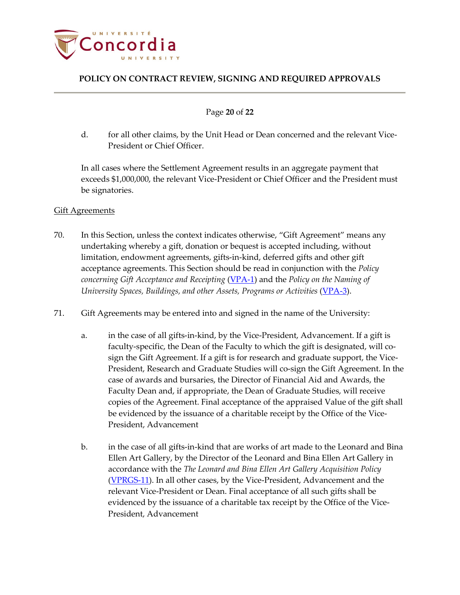

Page **20** of **22**

d. for all other claims, by the Unit Head or Dean concerned and the relevant Vice-President or Chief Officer.

In all cases where the Settlement Agreement results in an aggregate payment that exceeds \$1,000,000, the relevant Vice-President or Chief Officer and the President must be signatories.

## <span id="page-19-0"></span>Gift Agreements

- 70. In this Section, unless the context indicates otherwise, "Gift Agreement" means any undertaking whereby a gift, donation or bequest is accepted including, without limitation, endowment agreements, gifts-in-kind, deferred gifts and other gift acceptance agreements. This Section should be read in conjunction with the *Policy concerning Gift Acceptance and Receipting* [\(VPA-1\)](http://www.concordia.ca/content/dam/common/docs/policies/official-policies/VPA-1.pdf) and the *Policy on the Naming of University Spaces, Buildings, and other Assets, Programs or Activities* [\(VPA-3\)](http://www.concordia.ca/content/dam/common/docs/policies/official-policies/VPA-3.pdf).
- 71. Gift Agreements may be entered into and signed in the name of the University:
	- a. in the case of all gifts-in-kind, by the Vice-President, Advancement. If a gift is faculty-specific, the Dean of the Faculty to which the gift is designated, will cosign the Gift Agreement. If a gift is for research and graduate support, the Vice-President, Research and Graduate Studies will co-sign the Gift Agreement. In the case of awards and bursaries, the Director of Financial Aid and Awards, the Faculty Dean and, if appropriate, the Dean of Graduate Studies, will receive copies of the Agreement. Final acceptance of the appraised Value of the gift shall be evidenced by the issuance of a charitable receipt by the Office of the Vice-President, Advancement
	- b. in the case of all gifts-in-kind that are works of art made to the Leonard and Bina Ellen Art Gallery, by the Director of the Leonard and Bina Ellen Art Gallery in accordance with the *The Leonard and Bina Ellen Art Gallery Acquisition Policy* [\(VPRGS-11\)](http://www.concordia.ca/content/dam/common/docs/policies/official-policies/VPRGS-11.pdf). In all other cases, by the Vice-President, Advancement and the relevant Vice-President or Dean. Final acceptance of all such gifts shall be evidenced by the issuance of a charitable tax receipt by the Office of the Vice-President, Advancement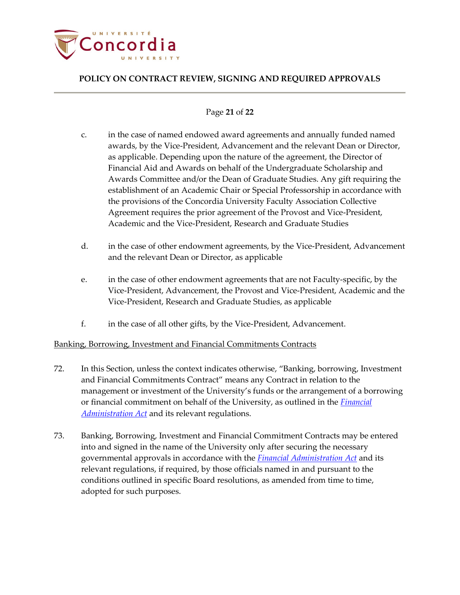

## Page **21** of **22**

- c. in the case of named endowed award agreements and annually funded named awards, by the Vice-President, Advancement and the relevant Dean or Director, as applicable. Depending upon the nature of the agreement, the Director of Financial Aid and Awards on behalf of the Undergraduate Scholarship and Awards Committee and/or the Dean of Graduate Studies. Any gift requiring the establishment of an Academic Chair or Special Professorship in accordance with the provisions of the Concordia University Faculty Association Collective Agreement requires the prior agreement of the Provost and Vice-President, Academic and the Vice-President, Research and Graduate Studies
- d. in the case of other endowment agreements, by the Vice-President, Advancement and the relevant Dean or Director, as applicable
- e. in the case of other endowment agreements that are not Faculty-specific, by the Vice-President, Advancement, the Provost and Vice-President, Academic and the Vice-President, Research and Graduate Studies, as applicable
- f. in the case of all other gifts, by the Vice-President, Advancement.

## <span id="page-20-0"></span>Banking, Borrowing, Investment and Financial Commitments Contracts

- 72. In this Section, unless the context indicates otherwise, "Banking, borrowing, Investment and Financial Commitments Contract" means any Contract in relation to the management or investment of the University's funds or the arrangement of a borrowing or financial commitment on behalf of the University, as outlined in the *[Financial](http://www2.publicationsduquebec.gouv.qc.ca/dynamicSearch/telecharge.php?type=2&file=/A_6_001/A6_001_A.html)  [Administration Act](http://www2.publicationsduquebec.gouv.qc.ca/dynamicSearch/telecharge.php?type=2&file=/A_6_001/A6_001_A.html)* and its relevant regulations.
- 73. Banking, Borrowing, Investment and Financial Commitment Contracts may be entered into and signed in the name of the University only after securing the necessary governmental approvals in accordance with the *[Financial Administration Act](http://www2.publicationsduquebec.gouv.qc.ca/dynamicSearch/telecharge.php?type=2&file=/A_6_001/A6_001_A.html)* and its relevant regulations, if required, by those officials named in and pursuant to the conditions outlined in specific Board resolutions, as amended from time to time, adopted for such purposes.